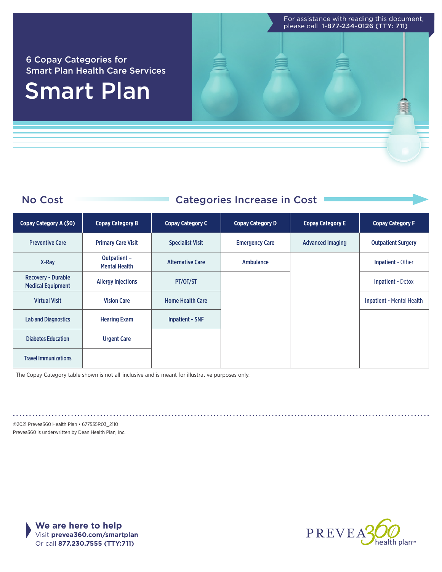For assistance with reading this document, please call 1-877-234-0126 (TTY: 711)

#### 6 Copay Categories for Smart Plan Health Care Services

# Smart Plan

### No Cost Categories Increase in Cost

| Copay Category A (\$0)                                | <b>Copay Category B</b>              | <b>Copay Category C</b> | <b>Copay Category D</b> | <b>Copay Category E</b> | <b>Copay Category F</b>          |
|-------------------------------------------------------|--------------------------------------|-------------------------|-------------------------|-------------------------|----------------------------------|
| <b>Preventive Care</b>                                | <b>Primary Care Visit</b>            | <b>Specialist Visit</b> | <b>Emergency Care</b>   | <b>Advanced Imaging</b> | <b>Outpatient Surgery</b>        |
| X-Ray                                                 | Outpatient -<br><b>Mental Health</b> | <b>Alternative Care</b> | Ambulance               |                         | <b>Inpatient - Other</b>         |
| <b>Recovery - Durable</b><br><b>Medical Equipment</b> | <b>Allergy Injections</b>            | PT/OT/ST                |                         |                         | <b>Inpatient - Detox</b>         |
| <b>Virtual Visit</b>                                  | <b>Vision Care</b>                   | <b>Home Health Care</b> |                         |                         | <b>Inpatient - Mental Health</b> |
| <b>Lab and Diagnostics</b>                            | <b>Hearing Exam</b>                  | <b>Inpatient - SNF</b>  |                         |                         |                                  |
| <b>Diabetes Education</b>                             | <b>Urgent Care</b>                   |                         |                         |                         |                                  |
| <b>Travel Immunizations</b>                           |                                      |                         |                         |                         |                                  |

The Copay Category table shown is not all-inclusive and is meant for illustrative purposes only.

©2021 Prevea360 Health Plan • 677535R03\_2110 Prevea360 is underwritten by Dean Health Plan, Inc.



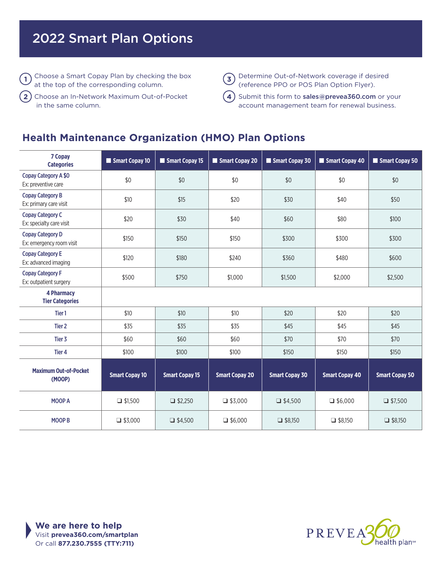## 2022 Smart Plan Options

 $\overline{1}$  Choose a Smart Copay Plan by checking the box  $\overline{3}$ at the top of the corresponding column.

Choose an In-Network Maximum Out-of-Pocket in the same column. **2**

Determine Out-of-Network coverage if desired (reference PPO or POS Plan Option Flyer).

**4**) Submit this form to **[sales@prevea360.com](mailto:sales@prevea360.com)** or your account management team for renewal business.

#### **Health Maintenance Organization (HMO) Plan Options**

| 7 Copay<br><b>Categories</b>                        | Smart Copay 10        | Smart Copay 15        | Smart Copay 20        | Smart Copay 30        | Smart Copay 40        | Smart Copay 50        |
|-----------------------------------------------------|-----------------------|-----------------------|-----------------------|-----------------------|-----------------------|-----------------------|
| <b>Copay Category A \$0</b><br>Ex: preventive care  | \$0                   | \$0                   | \$0                   | \$0                   | \$0                   | \$0                   |
| <b>Copay Category B</b><br>Ex: primary care visit   | \$10                  | \$15                  | \$20                  | \$30                  | \$40                  | \$50                  |
| <b>Copay Category C</b><br>Ex: specialty care visit | \$20                  | \$30                  | \$40                  | \$60                  | \$80                  | \$100                 |
| <b>Copay Category D</b><br>Ex: emergency room visit | \$150                 | \$150                 | \$150                 | \$300                 | \$300                 | \$300                 |
| <b>Copay Category E</b><br>Ex: advanced imaging     | \$120                 | \$180                 | \$240                 | \$360                 | \$480                 | \$600                 |
| <b>Copay Category F</b><br>Ex: outpatient surgery   | \$500                 | \$750                 | \$1,000               | \$1,500               | \$2,000               | \$2,500               |
| <b>4 Pharmacy</b><br><b>Tier Categories</b>         |                       |                       |                       |                       |                       |                       |
| Tier 1                                              | \$10                  | \$10                  | \$10                  | \$20                  | \$20                  | \$20                  |
| Tier <sub>2</sub>                                   | \$35                  | \$35                  | \$35                  | \$45                  | \$45                  | \$45                  |
| Tier 3                                              | \$60                  | \$60                  | \$60                  | \$70                  | \$70                  | \$70                  |
| Tier <sub>4</sub>                                   | \$100                 | \$100                 | \$100                 | \$150                 | \$150                 | \$150                 |
| <b>Maximum Out-of-Pocket</b><br>(MOOP)              | <b>Smart Copay 10</b> | <b>Smart Copay 15</b> | <b>Smart Copay 20</b> | <b>Smart Copay 30</b> | <b>Smart Copay 40</b> | <b>Smart Copay 50</b> |
| <b>MOOP A</b>                                       | $\Box$ \$1,500        | $\Box$ \$2,250        | $\Box$ \$3,000        | $\Box$ \$4,500        | $\Box$ \$6,000        | $\Box$ \$7,500        |
| <b>MOOP B</b>                                       | $\Box$ \$3,000        | $\Box$ \$4,500        | $\Box$ \$6,000        | $\Box$ \$8,150        | $\Box$ \$8,150        | $\Box$ \$8,150        |



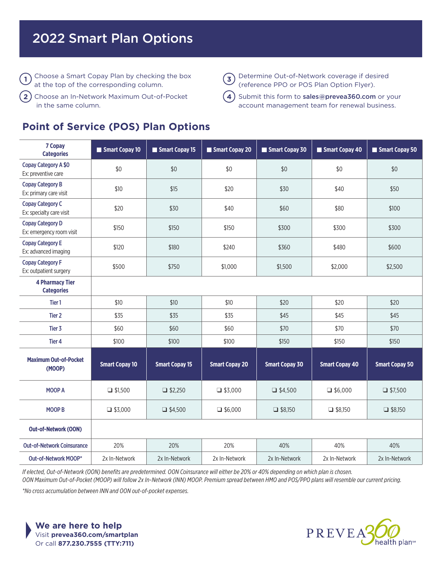## 2022 Smart Plan Options

 $\overline{1}$  Choose a Smart Copay Plan by checking the box  $\overline{3}$ at the top of the corresponding column.

Choose an In-Network Maximum Out-of-Pocket in the same column. **2**

#### **Point of Service (POS) Plan Options**

Determine Out-of-Network coverage if desired (reference PPO or POS Plan Option Flyer).

**4**) Submit this form to **[sales@prevea360.com](mailto:sales@prevea360.com)** or your account management team for renewal business.

| 7 Copay<br><b>Categories</b>                        | Smart Copay 10        | Smart Copay 15        | Smart Copay 20        | Smart Copay 30        | Smart Copay 40        | Smart Copay 50        |
|-----------------------------------------------------|-----------------------|-----------------------|-----------------------|-----------------------|-----------------------|-----------------------|
| <b>Copay Category A \$0</b><br>Ex: preventive care  | \$0                   | \$0                   | \$0                   | \$0                   | \$0                   | \$0                   |
| <b>Copay Category B</b><br>Ex: primary care visit   | \$10                  | \$15                  | \$20                  | \$30                  | \$40                  | \$50                  |
| <b>Copay Category C</b><br>Ex: specialty care visit | \$20                  | \$30                  | \$40                  | \$60                  | \$80                  | \$100                 |
| <b>Copay Category D</b><br>Ex: emergency room visit | \$150                 | \$150                 | \$150                 | \$300                 | \$300                 | \$300                 |
| <b>Copay Category E</b><br>Ex: advanced imaging     | \$120                 | \$180                 | \$240                 | \$360                 | \$480                 | \$600                 |
| <b>Copay Category F</b><br>Ex: outpatient surgery   | \$500                 | \$750                 | \$1,000               | \$1,500               | \$2,000               | \$2,500               |
| <b>4 Pharmacy Tier</b><br><b>Categories</b>         |                       |                       |                       |                       |                       |                       |
| Tier <sub>1</sub>                                   | \$10                  | \$10                  | \$10                  | \$20                  | \$20                  | \$20                  |
| Tier 2                                              | \$35                  | \$35                  | \$35                  | \$45                  | \$45                  | \$45                  |
| Tier 3                                              | \$60                  | \$60                  | \$60                  | \$70                  | \$70                  | \$70                  |
| Tier <sub>4</sub>                                   | \$100                 | \$100                 | \$100                 | \$150                 | \$150                 | \$150                 |
| <b>Maximum Out-of-Pocket</b><br>(MOOP)              | <b>Smart Copay 10</b> | <b>Smart Copay 15</b> | <b>Smart Copay 20</b> | <b>Smart Copay 30</b> | <b>Smart Copay 40</b> | <b>Smart Copay 50</b> |
| MOOP A                                              | $\Box$ \$1,500        | $\Box$ \$2,250        | $\Box$ \$3,000        | $\Box$ \$4,500        | $\Box$ \$6,000        | $\Box$ \$7,500        |
| <b>MOOP B</b>                                       | $\Box$ \$3,000        | $\Box$ \$4,500        | $\Box$ \$6,000        | $\Box$ \$8,150        | $\Box$ \$8,150        | $\Box$ \$8,150        |
| <b>Out-of-Network (OON)</b>                         |                       |                       |                       |                       |                       |                       |
| <b>Out-of-Network Coinsurance</b>                   | 20%                   | 20%                   | 20%                   | 40%                   | 40%                   | 40%                   |
| Out-of-Network MOOP*                                | 2x In-Network         | 2x In-Network         | 2x In-Network         | 2x In-Network         | 2x In-Network         | 2x In-Network         |

*If elected, Out-of-Network (OON) benefits are predetermined. OON Coinsurance will either be 20% or 40% depending on which plan is chosen.* 

*OON Maximum Out-of-Pocket (MOOP) will follow 2x In-Network (INN) MOOP. Premium spread between HMO and POS/PPO plans will resemble our current pricing. \*No cross accumulation between INN and OON out-of-pocket expenses.*